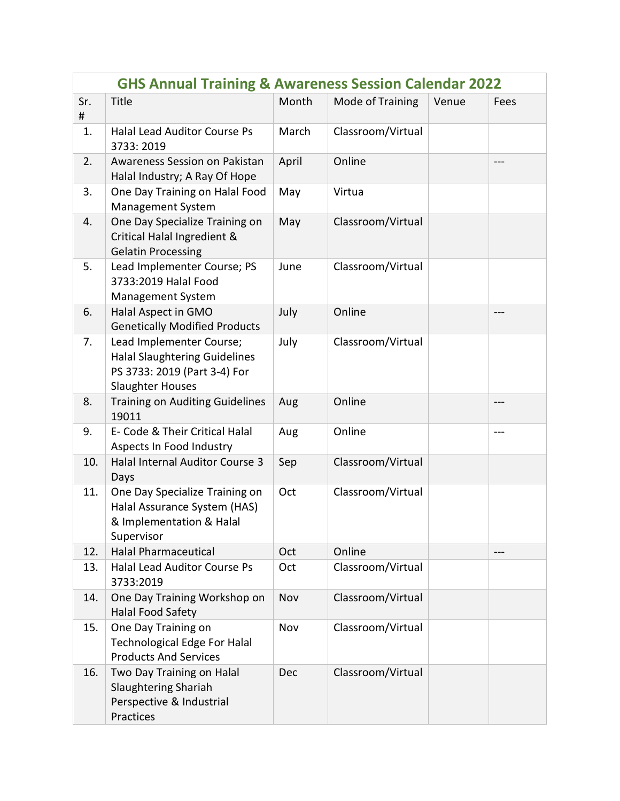| <b>GHS Annual Training &amp; Awareness Session Calendar 2022</b> |                                                                                                                             |       |                   |       |       |  |  |  |
|------------------------------------------------------------------|-----------------------------------------------------------------------------------------------------------------------------|-------|-------------------|-------|-------|--|--|--|
| Sr.<br>#                                                         | Title                                                                                                                       | Month | Mode of Training  | Venue | Fees  |  |  |  |
| 1.                                                               | <b>Halal Lead Auditor Course Ps</b><br>3733: 2019                                                                           | March | Classroom/Virtual |       |       |  |  |  |
| 2.                                                               | Awareness Session on Pakistan<br>Halal Industry; A Ray Of Hope                                                              | April | Online            |       |       |  |  |  |
| 3.                                                               | One Day Training on Halal Food<br><b>Management System</b>                                                                  | May   | Virtua            |       |       |  |  |  |
| 4.                                                               | One Day Specialize Training on<br>Critical Halal Ingredient &<br><b>Gelatin Processing</b>                                  | May   | Classroom/Virtual |       |       |  |  |  |
| 5.                                                               | Lead Implementer Course; PS<br>3733:2019 Halal Food<br><b>Management System</b>                                             | June  | Classroom/Virtual |       |       |  |  |  |
| 6.                                                               | Halal Aspect in GMO<br><b>Genetically Modified Products</b>                                                                 | July  | Online            |       |       |  |  |  |
| 7.                                                               | Lead Implementer Course;<br><b>Halal Slaughtering Guidelines</b><br>PS 3733: 2019 (Part 3-4) For<br><b>Slaughter Houses</b> | July  | Classroom/Virtual |       |       |  |  |  |
| 8.                                                               | <b>Training on Auditing Guidelines</b><br>19011                                                                             | Aug   | Online            |       | $---$ |  |  |  |
| 9.                                                               | E- Code & Their Critical Halal<br>Aspects In Food Industry                                                                  | Aug   | Online            |       | $---$ |  |  |  |
| 10.                                                              | Halal Internal Auditor Course 3<br>Days                                                                                     | Sep   | Classroom/Virtual |       |       |  |  |  |
| 11.                                                              | One Day Specialize Training on<br>Halal Assurance System (HAS)<br>& Implementation & Halal<br>Supervisor                    | Oct   | Classroom/Virtual |       |       |  |  |  |
| 12.                                                              | <b>Halal Pharmaceutical</b>                                                                                                 | Oct   | Online            |       | $---$ |  |  |  |
| 13.                                                              | <b>Halal Lead Auditor Course Ps</b><br>3733:2019                                                                            | Oct   | Classroom/Virtual |       |       |  |  |  |
| 14.                                                              | One Day Training Workshop on<br>Halal Food Safety                                                                           | Nov   | Classroom/Virtual |       |       |  |  |  |
| 15.                                                              | One Day Training on<br><b>Technological Edge For Halal</b><br><b>Products And Services</b>                                  | Nov   | Classroom/Virtual |       |       |  |  |  |
| 16.                                                              | Two Day Training on Halal<br><b>Slaughtering Shariah</b><br>Perspective & Industrial<br>Practices                           | Dec   | Classroom/Virtual |       |       |  |  |  |